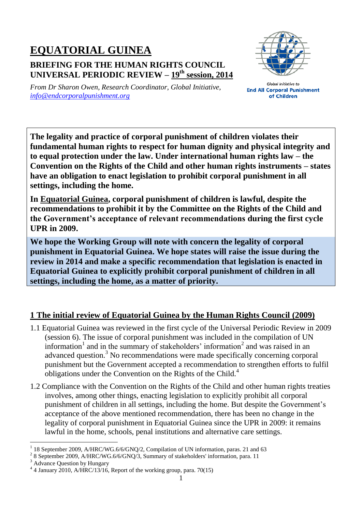## **EQUATORIAL GUINEA BRIEFING FOR THE HUMAN RIGHTS COUNCIL UNIVERSAL PERIODIC REVIEW – 19 th session, 2014**



*From Dr Sharon Owen, Research Coordinator, Global Initiative, [info@endcorporalpunishment.org](mailto:info@endcorporalpunishment.org)*

**Global Initiative to End All Corporal Punishment** of Children

**The legality and practice of corporal punishment of children violates their fundamental human rights to respect for human dignity and physical integrity and to equal protection under the law. Under international human rights law – the Convention on the Rights of the Child and other human rights instruments – states have an obligation to enact legislation to prohibit corporal punishment in all settings, including the home.**

**In Equatorial Guinea, corporal punishment of children is lawful, despite the recommendations to prohibit it by the Committee on the Rights of the Child and the Government's acceptance of relevant recommendations during the first cycle UPR in 2009.**

**We hope the Working Group will note with concern the legality of corporal punishment in Equatorial Guinea. We hope states will raise the issue during the review in 2014 and make a specific recommendation that legislation is enacted in Equatorial Guinea to explicitly prohibit corporal punishment of children in all settings, including the home, as a matter of priority.**

## **1 The initial review of Equatorial Guinea by the Human Rights Council (2009)**

- 1.1 Equatorial Guinea was reviewed in the first cycle of the Universal Periodic Review in 2009 (session 6). The issue of corporal punishment was included in the compilation of UN information<sup>1</sup> and in the summary of stakeholders' information<sup>2</sup> and was raised in an advanced question.<sup>3</sup> No recommendations were made specifically concerning corporal punishment but the Government accepted a recommendation to strengthen efforts to fulfil obligations under the Convention on the Rights of the Child.<sup>4</sup>
- 1.2 Compliance with the Convention on the Rights of the Child and other human rights treaties involves, among other things, enacting legislation to explicitly prohibit all corporal punishment of children in all settings, including the home. But despite the Government's acceptance of the above mentioned recommendation, there has been no change in the legality of corporal punishment in Equatorial Guinea since the UPR in 2009: it remains lawful in the home, schools, penal institutions and alternative care settings.

 $\overline{a}$ 

<sup>1</sup> 18 September 2009, A/HRC/WG.6/6/GNQ/2, Compilation of UN information, paras. 21 and 63

 $2^2$  8 September 2009, A/HRC/WG.6/6/GNQ/3, Summary of stakeholders' information, para. 11

<sup>&</sup>lt;sup>3</sup> Advance Question by Hungary

<sup>4</sup> 4 January 2010, A/HRC/13/16, Report of the working group, para. 70(15)